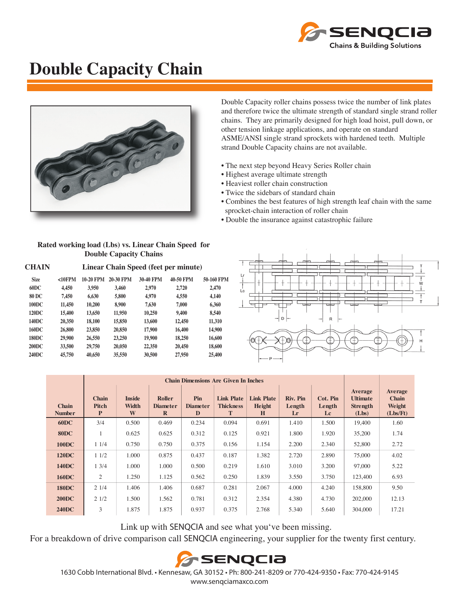

## **Double Capacity Chain**



Double Capacity roller chains possess twice the number of link plates and therefore twice the ultimate strength of standard single strand roller chains. They are primarily designed for high load hoist, pull down, or other tension linkage applications, and operate on standard ASME/ANSI single strand sprockets with hardened teeth. Multiple strand Double Capacity chains are not available.

- The next step beyond Heavy Series Roller chain
- Highest average ultimate strength
- Heaviest roller chain construction
- Twice the sidebars of standard chain
- Combines the best features of high strength leaf chain with the same sprocket-chain interaction of roller chain
- Double the insurance against catastrophic failure

| Rated working load (Lbs) vs. Linear Chain Speed for |  |  |  |  |  |  |  |
|-----------------------------------------------------|--|--|--|--|--|--|--|
| <b>Double Capacity Chains</b>                       |  |  |  |  |  |  |  |

| CHAIN        | Linear Chain Speed (feet per minute) |           |           |                  |                  |            |  |  |  |
|--------------|--------------------------------------|-----------|-----------|------------------|------------------|------------|--|--|--|
| <b>Size</b>  | $<10$ FPM                            | 10-20 FPM | 20-30 FPM | <b>30-40 FPM</b> | <b>40-50 FPM</b> | 50-160 FPM |  |  |  |
| 60DC         | 4,450                                | 3,950     | 3,460     | 2,970            | 2,720            | 2,470      |  |  |  |
| 80 DC        | 7,450                                | 6,630     | 5,800     | 4,970            | 4.550            | 4.140      |  |  |  |
| <b>100DC</b> | 11,450                               | 10,200    | 8,900     | 7,630            | 7,000            | 6.360      |  |  |  |
| 120DC        | 15,400                               | 13,650    | 11,950    | 10,250           | 9,400            | 8,540      |  |  |  |
| 140DC        | 20,350                               | 18,100    | 15,850    | 13,600           | 12,450           | 11.310     |  |  |  |
| 160DC        | 26,800                               | 23,850    | 20,850    | 17,900           | 16,400           | 14,900     |  |  |  |
| <b>180DC</b> | 29,900                               | 26,550    | 23,250    | 19,900           | 18,250           | 16,600     |  |  |  |
| <b>200DC</b> | 33,500                               | 29,750    | 20,050    | 22,350           | 20,450           | 18,600     |  |  |  |
| 240DC        | 45,750                               | 40,650    | 35,550    | 30,500           | 27,950           | 25,400     |  |  |  |
|              |                                      |           |           |                  |                  |            |  |  |  |



| <b>Chain</b><br><b>Number</b> | <b>Chain</b><br>Pitch<br>P | <b>Inside</b><br>Width<br>W | <b>Roller</b><br><b>Diameter</b><br>$\mathbf R$ | Pin<br><b>Diameter</b><br>D | <b>Link Plate</b><br><b>Thickness</b><br>T | <b>Link Plate</b><br>Height<br>H | Riv. Pin<br>Length<br>Lr | Cot. Pin<br>Length<br>Lc | Average<br><b>Ultimate</b><br><b>Strength</b><br>(Lbs) | Average<br><b>Chain</b><br>Weight<br>(Lbs/Ft) |
|-------------------------------|----------------------------|-----------------------------|-------------------------------------------------|-----------------------------|--------------------------------------------|----------------------------------|--------------------------|--------------------------|--------------------------------------------------------|-----------------------------------------------|
| <b>60DC</b>                   | 3/4                        | 0.500                       | 0.469                                           | 0.234                       | 0.094                                      | 0.691                            | 1.410                    | 1.500                    | 19,400                                                 | 1.60                                          |
| <b>80DC</b>                   |                            | 0.625                       | 0.625                                           | 0.312                       | 0.125                                      | 0.921                            | 1.800                    | 1.920                    | 35,200                                                 | 1.74                                          |
| <b>100DC</b>                  | 11/4                       | 0.750                       | 0.750                                           | 0.375                       | 0.156                                      | 1.154                            | 2.200                    | 2.340                    | 52,800                                                 | 2.72                                          |
| <b>120DC</b>                  | 11/2                       | 1.000                       | 0.875                                           | 0.437                       | 0.187                                      | 1.382                            | 2.720                    | 2.890                    | 75,000                                                 | 4.02                                          |
| <b>140DC</b>                  | $1 \frac{3}{4}$            | 1.000                       | 1.000                                           | 0.500                       | 0.219                                      | 1.610                            | 3.010                    | 3.200                    | 97,000                                                 | 5.22                                          |
| <b>160DC</b>                  | $\overline{2}$             | 1.250                       | 1.125                                           | 0.562                       | 0.250                                      | 1.839                            | 3.550                    | 3.750                    | 123,400                                                | 6.93                                          |
| <b>180DC</b>                  | 21/4                       | 1.406                       | 1.406                                           | 0.687                       | 0.281                                      | 2.067                            | 4.000                    | 4.240                    | 158,800                                                | 9.50                                          |
| <b>200DC</b>                  | 21/2                       | 1.500                       | 1.562                                           | 0.781                       | 0.312                                      | 2.354                            | 4.380                    | 4.730                    | 202,000                                                | 12.13                                         |
| <b>240DC</b>                  | 3                          | 1.875                       | 1.875                                           | 0.937                       | 0.375                                      | 2.768                            | 5.340                    | 5.640                    | 304,000                                                | 17.21                                         |

Link up with SENQCIA and see what youʻve been missing.

For a breakdown of drive comparison call SENQCIA engineering, your supplier for the twenty first century.



1630 Cobb International Blvd. • Kennesaw, GA 30152 • Ph: 800-241-8209 or 770-424-9350 • Fax: 770-424-9145 www.senqciamaxco.com